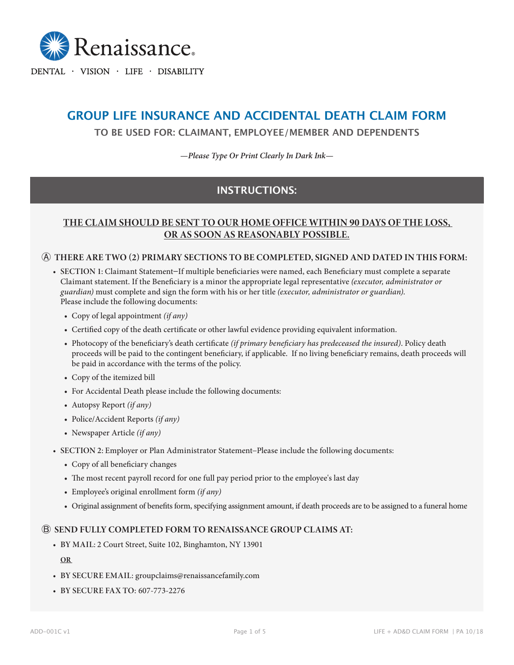

DENTAL · VISION · LIFE · DISABILITY

# **GROUP LIFE INSURANCE AND ACCIDENTAL DEATH CLAIM FORM**

**TO BE USED FOR: CLAIMANT, EMPLOYEE/MEMBER AND DEPENDENTS**

*—Please Type Or Print Clearly In Dark Ink—*

## **INSTRUCTIONS:**

## **THE CLAIM SHOULD BE SENT TO OUR HOME OFFICE WITHIN 90 DAYS OF THE LOSS, OR AS SOON AS REASONABLY POSSIBLE.**

#### Ⓐ **THERE ARE TWO (2) PRIMARY SECTIONS TO BE COMPLETED, SIGNED AND DATED IN THIS FORM:**

- **• SECTION 1:** Claimant Statement−If multiple beneficiaries were named, each Beneficiary must complete a separate Claimant statement. If the Beneficiary is a minor the appropriate legal representative *(executor, administrator or guardian)* must complete and sign the form with his or her title *(executor, administrator or guardian)*. Please include the following documents:
	- Copy of legal appointment *(if any)*
	- Certified copy of the death certificate or other lawful evidence providing equivalent information.
	- Photocopy of the beneficiary's death certificate *(if primary beneficiary has predeceased the insured)*. Policy death proceeds will be paid to the contingent beneficiary, if applicable. If no living beneficiary remains, death proceeds will be paid in accordance with the terms of the policy.
	- Copy of the itemized bill
	- For Accidental Death please include the following documents:
	- Autopsy Report *(if any)*
	- Police/Accident Reports *(if any)*
	- Newspaper Article *(if any)*
- **• SECTION 2:** Employer or Plan Administrator Statement−Please include the following documents:
	- Copy of all beneficiary changes
	- The most recent payroll record for one full pay period prior to the employee's last day
	- Employee's original enrollment form *(if any)*
	- Original assignment of benefits form, specifying assignment amount, if death proceeds are to be assigned to a funeral home

#### Ⓑ **SEND FULLY COMPLETED FORM TO RENAISSANCE GROUP CLAIMS AT:**

**• BY MAIL:** 2 Court Street, Suite 102, Binghamton, NY 13901

**OR** 

- **• BY SECURE EMAIL:** groupclaims@renaissancefamily.com
- **• BY SECURE FAX TO:** 607-773-2276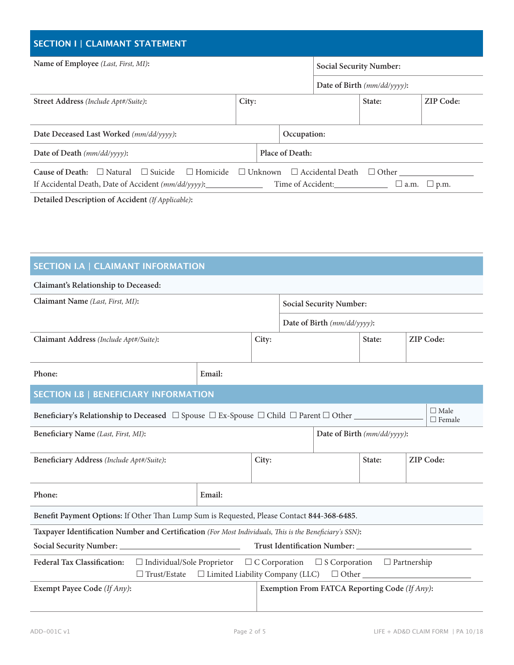| <b>SECTION I   CLAIMANT STATEMENT</b>                                                                                         |                                                                                                           |  |             |                                |        |                  |  |  |
|-------------------------------------------------------------------------------------------------------------------------------|-----------------------------------------------------------------------------------------------------------|--|-------------|--------------------------------|--------|------------------|--|--|
| Name of Employee (Last, First, MI):                                                                                           |                                                                                                           |  |             | <b>Social Security Number:</b> |        |                  |  |  |
|                                                                                                                               |                                                                                                           |  |             | Date of Birth $(mm/dd/yyyy)$ : |        |                  |  |  |
| <b>Street Address</b> (Include Apt#/Suite):                                                                                   | City:                                                                                                     |  |             |                                | State: | <b>ZIP Code:</b> |  |  |
| Date Deceased Last Worked (mm/dd/yyyy):                                                                                       |                                                                                                           |  | Occupation: |                                |        |                  |  |  |
| Date of Death $(mm/dd/yyyy)$ :                                                                                                | Place of Death:                                                                                           |  |             |                                |        |                  |  |  |
| Cause of Death:<br>$\Box$ Natural<br>$\Box$ Suicide<br>$\Box$ Homicide<br>If Accidental Death, Date of Accident (mm/dd/yyyy): | $\Box$ Unknown<br>$\Box$ Accidental Death<br>$\Box$ Other<br>Time of Accident:<br>$\Box$ a.m. $\Box$ p.m. |  |             |                                |        |                  |  |  |
| Detailed Description of Accident (If Applicable):                                                                             |                                                                                                           |  |             |                                |        |                  |  |  |

| <b>SECTION I.A   CLAIMANT INFORMATION</b> |
|-------------------------------------------|
|                                           |

## **Claimant's Relationship to Deceased:**

| Claimant Name (Last, First, MI):                                                                                                                                                                               |        | <b>Social Security Number:</b> |                             |                             |        |                  |  |  |  |
|----------------------------------------------------------------------------------------------------------------------------------------------------------------------------------------------------------------|--------|--------------------------------|-----------------------------|-----------------------------|--------|------------------|--|--|--|
|                                                                                                                                                                                                                |        |                                | Date of Birth (mm/dd/yyyy): |                             |        |                  |  |  |  |
| Claimant Address (Include Apt#/Suite):                                                                                                                                                                         |        | City:                          |                             |                             | State: | <b>ZIP Code:</b> |  |  |  |
| Phone:                                                                                                                                                                                                         | Email: |                                |                             |                             |        |                  |  |  |  |
| <b>SECTION I.B   BENEFICIARY INFORMATION</b>                                                                                                                                                                   |        |                                |                             |                             |        |                  |  |  |  |
| $\Box$ Male<br>Beneficiary's Relationship to Deceased $\Box$ Spouse $\Box$ Ex-Spouse $\Box$ Child $\Box$ Parent $\Box$ Other<br>$\Box$ Female                                                                  |        |                                |                             |                             |        |                  |  |  |  |
| Beneficiary Name (Last, First, MI):                                                                                                                                                                            |        |                                |                             | Date of Birth (mm/dd/yyyy): |        |                  |  |  |  |
| Beneficiary Address (Include Apt#/Suite):                                                                                                                                                                      |        | City:                          |                             |                             | State: | <b>ZIP Code:</b> |  |  |  |
| Phone:                                                                                                                                                                                                         | Email: |                                |                             |                             |        |                  |  |  |  |
| Benefit Payment Options: If Other Than Lump Sum is Requested, Please Contact 844-368-6485.                                                                                                                     |        |                                |                             |                             |        |                  |  |  |  |
| Taxpayer Identification Number and Certification (For Most Individuals, This is the Beneficiary's SSN):                                                                                                        |        |                                |                             |                             |        |                  |  |  |  |
|                                                                                                                                                                                                                |        |                                |                             |                             |        |                  |  |  |  |
| Federal Tax Classification:<br>$\Box$ Individual/Sole Proprietor $\Box$ C Corporation $\Box$ S Corporation<br>$\Box$ Partnership<br>$\Box$ Trust/Estate $\Box$ Limited Liability Company (LLC)<br>$\Box$ Other |        |                                |                             |                             |        |                  |  |  |  |
| Exempt Payee Code (If Any):<br>Exemption From FATCA Reporting Code (If Any):                                                                                                                                   |        |                                |                             |                             |        |                  |  |  |  |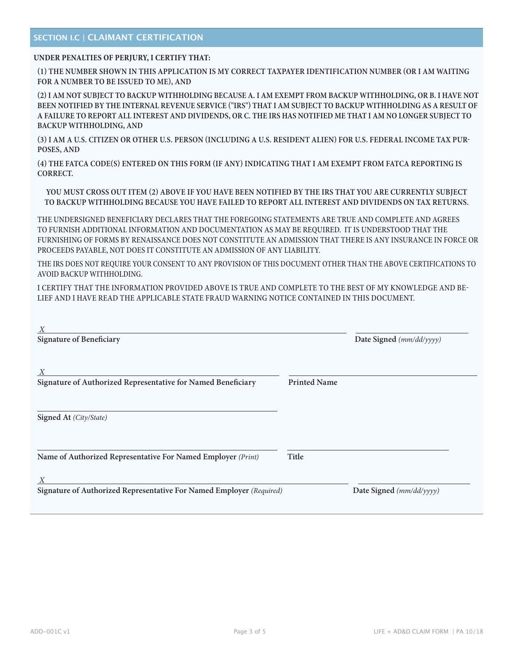#### **SECTION I.C | CLAIMANT CERTIFICATION**

#### **UNDER PENALTIES OF PERJURY, I CERTIFY THAT:**

**(1) THE NUMBER SHOWN IN THIS APPLICATION IS MY CORRECT TAXPAYER IDENTIFICATION NUMBER (OR I AM WAITING FOR A NUMBER TO BE ISSUED TO ME), AND** 

**(2) I AM NOT SUBJECT TO BACKUP WITHHOLDING BECAUSE A. I AM EXEMPT FROM BACKUP WITHHOLDING, OR B. I HAVE NOT BEEN NOTIFIED BY THE INTERNAL REVENUE SERVICE ("IRS") THAT I AM SUBJECT TO BACKUP WITHHOLDING AS A RESULT OF A FAILURE TO REPORT ALL INTEREST AND DIVIDENDS, OR C. THE IRS HAS NOTIFIED ME THAT I AM NO LONGER SUBJECT TO BACKUP WITHHOLDING, AND** 

**(3) I AM A U.S. CITIZEN OR OTHER U.S. PERSON (INCLUDING A U.S. RESIDENT ALIEN) FOR U.S. FEDERAL INCOME TAX PUR-POSES, AND** 

**(4) THE FATCA CODE(S) ENTERED ON THIS FORM (IF ANY) INDICATING THAT I AM EXEMPT FROM FATCA REPORTING IS CORRECT.**

**YOU MUST CROSS OUT ITEM (2) ABOVE IF YOU HAVE BEEN NOTIFIED BY THE IRS THAT YOU ARE CURRENTLY SUBJECT TO BACKUP WITHHOLDING BECAUSE YOU HAVE FAILED TO REPORT ALL INTEREST AND DIVIDENDS ON TAX RETURNS.**

THE UNDERSIGNED BENEFICIARY DECLARES THAT THE FOREGOING STATEMENTS ARE TRUE AND COMPLETE AND AGREES TO FURNISH ADDITIONAL INFORMATION AND DOCUMENTATION AS MAY BE REQUIRED. IT IS UNDERSTOOD THAT THE FURNISHING OF FORMS BY RENAISSANCE DOES NOT CONSTITUTE AN ADMISSION THAT THERE IS ANY INSURANCE IN FORCE OR PROCEEDS PAYABLE, NOT DOES IT CONSTITUTE AN ADMISSION OF ANY LIABILITY.

THE IRS DOES NOT REQUIRE YOUR CONSENT TO ANY PROVISION OF THIS DOCUMENT OTHER THAN THE ABOVE CERTIFICATIONS TO AVOID BACKUP WITHHOLDING.

I CERTIFY THAT THE INFORMATION PROVIDED ABOVE IS TRUE AND COMPLETE TO THE BEST OF MY KNOWLEDGE AND BE-LIEF AND I HAVE READ THE APPLICABLE STATE FRAUD WARNING NOTICE CONTAINED IN THIS DOCUMENT.

| $\boldsymbol{X}$<br><b>Signature of Beneficiary</b>                       | Date Signed (mm/dd/yyyy) |                          |  |  |
|---------------------------------------------------------------------------|--------------------------|--------------------------|--|--|
| X<br>Signature of Authorized Representative for Named Beneficiary         | <b>Printed Name</b>      |                          |  |  |
| Signed At (City/State)                                                    |                          |                          |  |  |
| Name of Authorized Representative For Named Employer (Print)              | Title                    |                          |  |  |
| X<br>Signature of Authorized Representative For Named Employer (Required) |                          | Date Signed (mm/dd/yyyy) |  |  |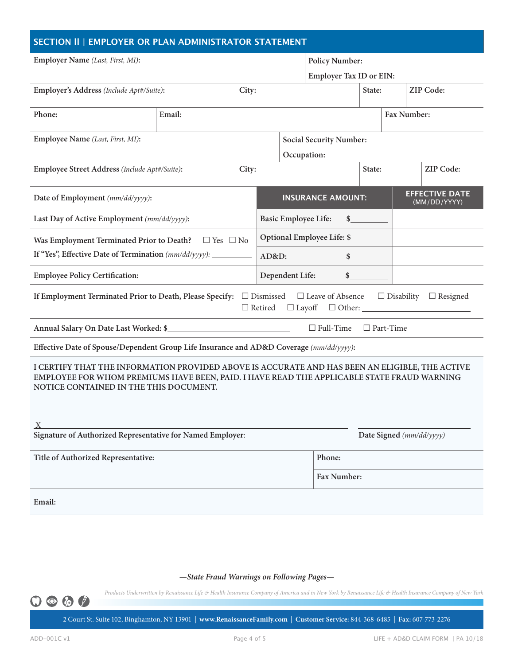| SECTION II   EMPLOYER OR PLAN ADMINISTRATOR STATEMENT                                                                                                                                                                                  |                      |       |                                |                                                                   |                                |  |             |  |           |  |
|----------------------------------------------------------------------------------------------------------------------------------------------------------------------------------------------------------------------------------------|----------------------|-------|--------------------------------|-------------------------------------------------------------------|--------------------------------|--|-------------|--|-----------|--|
| Employer Name (Last, First, MI):                                                                                                                                                                                                       |                      |       |                                | <b>Policy Number:</b>                                             |                                |  |             |  |           |  |
|                                                                                                                                                                                                                                        |                      |       |                                |                                                                   | <b>Employer Tax ID or EIN:</b> |  |             |  |           |  |
| Employer's Address (Include Apt#/Suite):<br>City:                                                                                                                                                                                      |                      |       |                                |                                                                   |                                |  | State:      |  | ZIP Code: |  |
| Phone:                                                                                                                                                                                                                                 | Email:               |       |                                |                                                                   |                                |  | Fax Number: |  |           |  |
| Employee Name (Last, First, MI):                                                                                                                                                                                                       |                      |       | <b>Social Security Number:</b> |                                                                   |                                |  |             |  |           |  |
|                                                                                                                                                                                                                                        |                      |       | Occupation:                    |                                                                   |                                |  |             |  |           |  |
| Employee Street Address (Include Apt#/Suite):                                                                                                                                                                                          |                      | City: |                                |                                                                   |                                |  | State:      |  | ZIP Code: |  |
| Date of Employment (mm/dd/yyyy):                                                                                                                                                                                                       |                      |       |                                | <b>EFFECTIVE DATE</b><br><b>INSURANCE AMOUNT:</b><br>(MM/DD/YYYY) |                                |  |             |  |           |  |
| Last Day of Active Employment (mm/dd/yyyy):                                                                                                                                                                                            |                      |       |                                | <b>Basic Employee Life:</b>                                       |                                |  | $\sim$      |  |           |  |
| Was Employment Terminated Prior to Death?                                                                                                                                                                                              | $\Box$ Yes $\Box$ No |       |                                |                                                                   | Optional Employee Life: \$     |  |             |  |           |  |
| If "Yes", Effective Date of Termination (mm/dd/yyyy): ___________                                                                                                                                                                      |                      |       | AD&D:                          |                                                                   |                                |  | s           |  |           |  |
| <b>Employee Policy Certification:</b>                                                                                                                                                                                                  |                      |       |                                | Dependent Life:                                                   |                                |  | $\sim$      |  |           |  |
| If Employment Terminated Prior to Death, Please Specify: $\Box$ Dismissed $\Box$ Leave of Absence $\Box$ Disability $\Box$ Resigned<br>$\Box$<br>Retired<br>$\Box$ Layoff                                                              |                      |       |                                |                                                                   |                                |  |             |  |           |  |
| $\Box$ Full-Time<br>$\Box$ Part-Time                                                                                                                                                                                                   |                      |       |                                |                                                                   |                                |  |             |  |           |  |
| Effective Date of Spouse/Dependent Group Life Insurance and AD&D Coverage (mm/dd/yyyy):                                                                                                                                                |                      |       |                                |                                                                   |                                |  |             |  |           |  |
| I CERTIFY THAT THE INFORMATION PROVIDED ABOVE IS ACCURATE AND HAS BEEN AN ELIGIBLE, THE ACTIVE<br>EMPLOYEE FOR WHOM PREMIUMS HAVE BEEN, PAID. I HAVE READ THE APPLICABLE STATE FRAUD WARNING<br>NOTICE CONTAINED IN THE THIS DOCUMENT. |                      |       |                                |                                                                   |                                |  |             |  |           |  |
| X<br>Signature of Authorized Representative for Named Employer:                                                                                                                                                                        |                      |       | Date Signed (mm/dd/yyyy)       |                                                                   |                                |  |             |  |           |  |
| Title of Authorized Representative:                                                                                                                                                                                                    |                      |       |                                | Phone:                                                            |                                |  |             |  |           |  |
|                                                                                                                                                                                                                                        |                      |       |                                | Fax Number:                                                       |                                |  |             |  |           |  |
| Email:                                                                                                                                                                                                                                 |                      |       |                                |                                                                   |                                |  |             |  |           |  |

—*State Fraud Warnings on Following Pages*—

*Products Underwritten by Renaissance Life & Health Insurance Company of America and in New York by Renaissance Life & Health Insurance Company of New York*

ADD-001C v1 Page 4 of 5 LIFE + AD&D CLAIM FORM | PA 10/18 2 Court St. Suite 102, Binghamton, NY 13901 | **www.RenaissanceFamily.com** | **Customer Service:** 844-368-6485 | **Fax:** 607-773-2276

 $O \circledcirc \circledcirc$